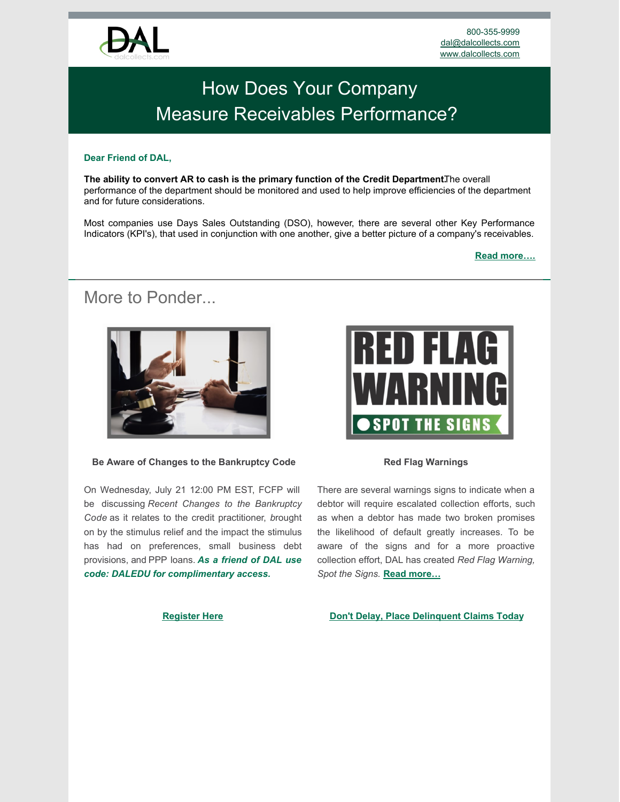

# [How Does Your Company](https://www.dalcollects.com/home/) [Measure Receivables Performance?](https://www.dalcollects.com/home/)

### **Dear Friend of DAL,**

**The ability to convert AR to cash is the primary function of the Credit Department. The overall** performance of the department should be monitored and used to help improve efficiencies of the department and for future considerations.

Most companies use Days Sales Outstanding (DSO), however, there are several other Key Performance Indicators (KPI's), that used in conjunction with one another, give a better picture of a company's receivables.

**[Read more….](https://www.dalcollects.com/sign-up/measuring-receivables-performance-with-kpis/)**

## More to Ponder



#### **Be Aware of Changes to the Bankruptcy Code**

On Wednesday, July 21 12:00 PM EST, FCFP will be discussing *Recent Changes to the Bankruptcy Code* as it relates to the credit practitioner, *b*rought on by the stimulus relief and the impact the stimulus has had on preferences, small business debt provisions, and PPP loans. *As a friend of DAL use code: DALEDU for complimentary access.*



#### **Red Flag Warnings**

There are several warnings signs to indicate when a debtor will require escalated collection efforts, such as when a debtor has made two broken promises the likelihood of default greatly increases. To be aware of the signs and for a more proactive collection effort, DAL has created *Red Flag Warning, Spot the Signs.* **[Read more…](https://www.dalcollects.com/sign-up/red-flag-warnings-spot-the-signs/)**

#### **[Register Here](https://form.jotform.com/211676039327054)**

#### **[Don't Delay, Place Delinquent Claims Today](https://dalcollects.com/place-a-claim/)**